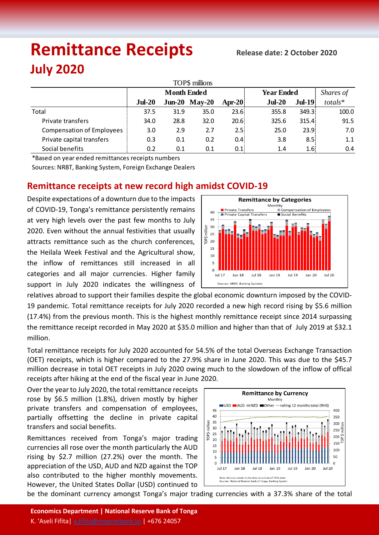# **Remittance Receipts Release date: <sup>2</sup> October <sup>2020</sup> July 2020**

| TOP\$ millions                   |                    |      |                 |                |                   |                   |           |  |  |  |  |  |
|----------------------------------|--------------------|------|-----------------|----------------|-------------------|-------------------|-----------|--|--|--|--|--|
|                                  | <b>Month Ended</b> |      |                 |                | <b>Year Ended</b> |                   | Shares of |  |  |  |  |  |
|                                  | $Jul-20$           |      | $Jun-20$ May-20 | Apr-20 $\vert$ | $Jul-20$          | $Jul-19$          | totals*   |  |  |  |  |  |
| Total                            | 37.5               | 31.9 | 35.0            | 23.6           | 355.8             | 349.3             | 100.0     |  |  |  |  |  |
| Private transfers                | 34.0               | 28.8 | 32.0            | 20.6           | 325.6             | 315.4             | 91.5      |  |  |  |  |  |
| <b>Compensation of Employees</b> | 3.0                | 2.9  | 2.7             | 2.5%           | 25.0              | 23.9 <sup>1</sup> | 7.0       |  |  |  |  |  |
| Private capital transfers        | 0.3                | 0.1  | 0.2             | 0.4            | 3.8               | 8.51              | 1.1       |  |  |  |  |  |
| Social benefits                  | 0.2                | 0.1  | 0.1             | 0.1            | 1.4               | 1.6!              | 0.4       |  |  |  |  |  |

\*Based on year ended remittances receipts numbers

Sources: NRBT, Banking System, Foreign Exchange Dealers

# **Remittance receipts at new record high amidst COVID-19**

Despite expectations of a downturn due to the impacts of COVID-19, Tonga's remittance persistently remains at very high levels over the past few months to July 2020. Even without the annual festivities that usually attracts remittance such as the church conferences, the Heilala Week Festival and the Agricultural show, the inflow of remittances still increased in all categories and all major currencies. Higher family support in July 2020 indicates the willingness of



relatives abroad to support their families despite the global economic downturn imposed by the COVID-19 pandemic. Total remittance receipts for July 2020 recorded a new high record rising by \$5.6 million (17.4%) from the previous month. This is the highest monthly remittance receipt since 2014 surpassing the remittance receipt recorded in May 2020 at \$35.0 million and higher than that of July 2019 at \$32.1 million.

Total remittance receipts for July 2020 accounted for 54.5% of the total Overseas Exchange Transaction (OET) receipts, which is higher compared to the 27.9% share in June 2020. This was due to the \$45.7 million decrease in total OET receipts in July 2020 owing much to the slowdown of the inflow of offical receipts after hiking at the end of the fiscal year in June 2020.

Over the year to July 2020, the total remittance receipts rose by \$6.5 million (1.8%), driven mostly by higher private transfers and compensation of employees, partially offsetting the decline in private capital transfers and social benefits.

Remittances received from Tonga's major trading currencies all rose over the month particularly the AUD rising by \$2.7 million (27.2%) over the month. The appreciation of the USD, AUD and NZD against the TOP also contributed to the higher monthly movements. However, the United States Dollar (USD) continued to



be the dominant currency amongst Tonga's major trading currencies with a 37.3% share of the total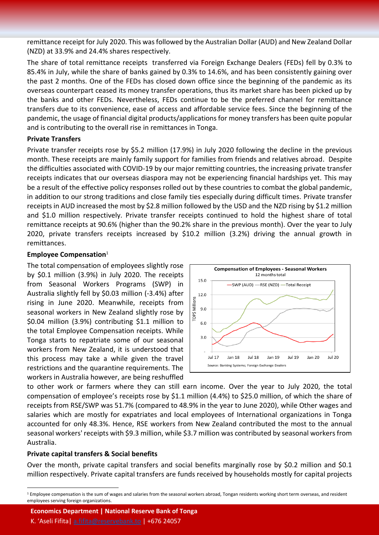remittance receipt for July 2020. This was followed by the Australian Dollar (AUD) and New Zealand Dollar (NZD) at 33.9% and 24.4% shares respectively.

The share of total remittance receipts transferred via Foreign Exchange Dealers (FEDs) fell by 0.3% to 85.4% in July, while the share of banks gained by 0.3% to 14.6%, and has been consistently gaining over the past 2 months. One of the FEDs has closed down office since the beginning of the pandemic as its overseas counterpart ceased its money transfer operations, thus its market share has been picked up by the banks and other FEDs. Nevertheless, FEDs continue to be the preferred channel for remittance transfers due to its convenience, ease of access and affordable service fees. Since the beginning of the pandemic, the usage of financial digital products/applications for money transfers has been quite popular and is contributing to the overall rise in remittances in Tonga.

#### **Private Transfers**

Private transfer receipts rose by \$5.2 million (17.9%) in July 2020 following the decline in the previous month. These receipts are mainly family support for families from friends and relatives abroad. Despite the difficulties associated with COVID-19 by our major remitting countries, the increasing private transfer receipts indicates that our overseas diaspora may not be experiencing financial hardships yet. This may be a result of the effective policy responses rolled out by these countries to combat the global pandemic, in addition to our strong traditions and close family ties especially during difficult times. Private transfer receipts in AUD increased the most by \$2.8 million followed by the USD and the NZD rising by \$1.2 million and \$1.0 million respectively. Private transfer receipts continued to hold the highest share of total remittance receipts at 90.6% (higher than the 90.2% share in the previous month). Over the year to July 2020, private transfers receipts increased by \$10.2 million (3.2%) driving the annual growth in remittances.

### **Employee Compensation**<sup>1</sup>

The total compensation of employees slightly rose by \$0.1 million (3.9%) in July 2020. The receipts from Seasonal Workers Programs (SWP) in Australia slightly fell by \$0.03 million (-3.4%) after rising in June 2020. Meanwhile, receipts from seasonal workers in New Zealand slightly rose by \$0.04 million (3.9%) contributing \$1.1 million to the total Employee Compensation receipts. While Tonga starts to repatriate some of our seasonal workers from New Zealand, it is understood that this process may take a while given the travel restrictions and the quarantine requirements. The workers in Australia however, are being reshuffled



to other work or farmers where they can still earn income. Over the year to July 2020, the total compensation of employee's receipts rose by \$1.1 million (4.4%) to \$25.0 million, of which the share of receipts from RSE/SWP was 51.7% (compared to 48.9% in the year to June 2020), while Other wages and salaries which are mostly for expatriates and local employees of International organizations in Tonga accounted for only 48.3%. Hence, RSE workers from New Zealand contributed the most to the annual seasonal workers' receipts with \$9.3 million, while \$3.7 million was contributed by seasonal workers from Australia.

## **Private capital transfers & Social benefits**

 $\overline{a}$ 

Over the month, private capital transfers and social benefits marginally rose by \$0.2 million and \$0.1 million respectively. Private capital transfers are funds received by households mostly for capital projects

**Economics Department | National Reserve Bank of Tonga**

<sup>&</sup>lt;sup>1</sup> Employee compensation is the sum of wages and salaries from the seasonal workers abroad, Tongan residents working short term overseas, and resident employees serving foreign organizations.

K. 'Aseli Fifita| [a.fifita@reservebank.to](mailto:a.fifita@reservebank.to) | +676 24057